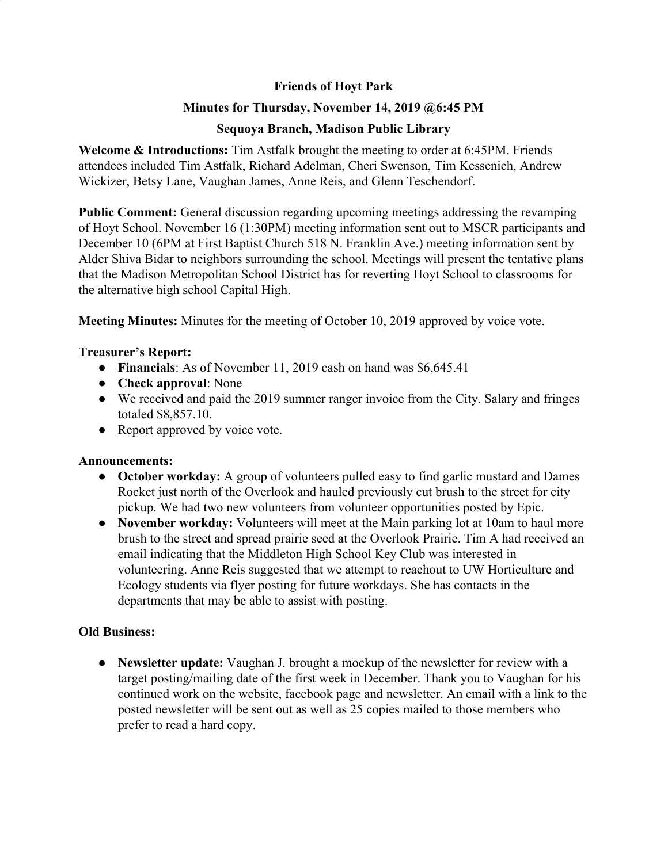# **Friends of Hoyt Park**

## **Minutes for Thursday, November 14, 2019 @6:45 PM**

## **Sequoya Branch, Madison Public Library**

**Welcome & Introductions:** Tim Astfalk brought the meeting to order at 6:45PM. Friends attendees included Tim Astfalk, Richard Adelman, Cheri Swenson, Tim Kessenich, Andrew Wickizer, Betsy Lane, Vaughan James, Anne Reis, and Glenn Teschendorf.

**Public Comment:** General discussion regarding upcoming meetings addressing the revamping of Hoyt School. November 16 (1:30PM) meeting information sent out to MSCR participants and December 10 (6PM at First Baptist Church 518 N. Franklin Ave.) meeting information sent by Alder Shiva Bidar to neighbors surrounding the school. Meetings will present the tentative plans that the Madison Metropolitan School District has for reverting Hoyt School to classrooms for the alternative high school Capital High.

**Meeting Minutes:** Minutes for the meeting of October 10, 2019 approved by voice vote.

### **Treasurer's Report:**

- **Financials**: As of November 11, 2019 cash on hand was \$6,645.41
- **Check approval**: None
- We received and paid the 2019 summer ranger invoice from the City. Salary and fringes totaled \$8,857.10.
- Report approved by voice vote.

### **Announcements:**

- **● October workday:** A group of volunteers pulled easy to find garlic mustard and Dames Rocket just north of the Overlook and hauled previously cut brush to the street for city pickup. We had two new volunteers from volunteer opportunities posted by Epic.
- **● November workday:** Volunteers will meet at the Main parking lot at 10am to haul more brush to the street and spread prairie seed at the Overlook Prairie. Tim A had received an email indicating that the Middleton High School Key Club was interested in volunteering. Anne Reis suggested that we attempt to reachout to UW Horticulture and Ecology students via flyer posting for future workdays. She has contacts in the departments that may be able to assist with posting.

# **Old Business:**

**● Newsletter update:** Vaughan J. brought a mockup of the newsletter for review with a target posting/mailing date of the first week in December. Thank you to Vaughan for his continued work on the website, facebook page and newsletter. An email with a link to the posted newsletter will be sent out as well as 25 copies mailed to those members who prefer to read a hard copy.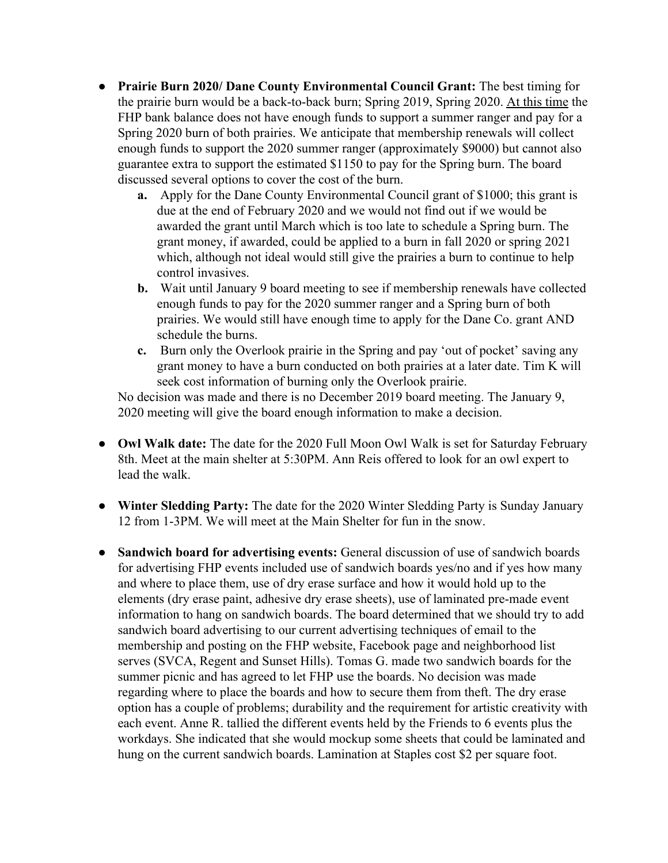- **● Prairie Burn 2020/ Dane County Environmental Council Grant:** The best timing for the prairie burn would be a back-to-back burn; Spring 2019, Spring 2020. At this time the FHP bank balance does not have enough funds to support a summer ranger and pay for a Spring 2020 burn of both prairies. We anticipate that membership renewals will collect enough funds to support the 2020 summer ranger (approximately \$9000) but cannot also guarantee extra to support the estimated \$1150 to pay for the Spring burn. The board discussed several options to cover the cost of the burn.
	- **a.** Apply for the Dane County Environmental Council grant of \$1000; this grant is due at the end of February 2020 and we would not find out if we would be awarded the grant until March which is too late to schedule a Spring burn. The grant money, if awarded, could be applied to a burn in fall 2020 or spring 2021 which, although not ideal would still give the prairies a burn to continue to help control invasives.
	- **b.** Wait until January 9 board meeting to see if membership renewals have collected enough funds to pay for the 2020 summer ranger and a Spring burn of both prairies. We would still have enough time to apply for the Dane Co. grant AND schedule the burns.
	- **c.** Burn only the Overlook prairie in the Spring and pay 'out of pocket' saving any grant money to have a burn conducted on both prairies at a later date. Tim K will seek cost information of burning only the Overlook prairie.

No decision was made and there is no December 2019 board meeting. The January 9, 2020 meeting will give the board enough information to make a decision.

- **● Owl Walk date:** The date for the 2020 Full Moon Owl Walk is set for Saturday February 8th. Meet at the main shelter at 5:30PM. Ann Reis offered to look for an owl expert to lead the walk.
- **● Winter Sledding Party:** The date for the 2020 Winter Sledding Party is Sunday January 12 from 1-3PM. We will meet at the Main Shelter for fun in the snow.
- **● Sandwich board for advertising events:** General discussion of use of sandwich boards for advertising FHP events included use of sandwich boards yes/no and if yes how many and where to place them, use of dry erase surface and how it would hold up to the elements (dry erase paint, adhesive dry erase sheets), use of laminated pre-made event information to hang on sandwich boards. The board determined that we should try to add sandwich board advertising to our current advertising techniques of email to the membership and posting on the FHP website, Facebook page and neighborhood list serves (SVCA, Regent and Sunset Hills). Tomas G. made two sandwich boards for the summer picnic and has agreed to let FHP use the boards. No decision was made regarding where to place the boards and how to secure them from theft. The dry erase option has a couple of problems; durability and the requirement for artistic creativity with each event. Anne R. tallied the different events held by the Friends to 6 events plus the workdays. She indicated that she would mockup some sheets that could be laminated and hung on the current sandwich boards. Lamination at Staples cost \$2 per square foot.